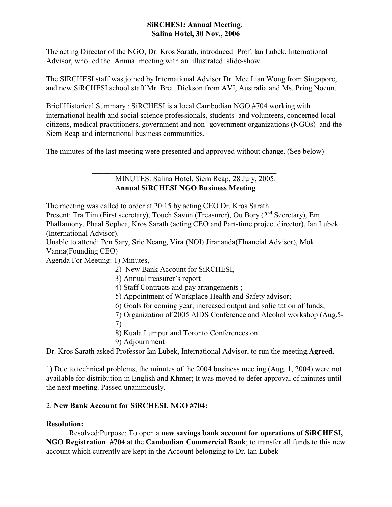#### **SiRCHESI: Annual Meeting, Salina Hotel, 30 Nov., 2006**

The acting Director of the NGO, Dr. Kros Sarath, introduced Prof. Ian Lubek, International Advisor, who led the Annual meeting with an illustrated slide-show.

The SIRCHESI staff was joined by International Advisor Dr. Mee Lian Wong from Singapore, and new SiRCHESI school staff Mr. Brett Dickson from AVI, Australia and Ms. Pring Noeun.

Brief Historical Summary : SiRCHESI is a local Cambodian NGO #704 working with international health and social science professionals, students and volunteers, concerned local citizens, medical practitioners, government and non- government organizations (NGOs) and the Siem Reap and international business communities.

The minutes of the last meeting were presented and approved without change. (See below)

MINUTES: Salina Hotel, Siem Reap, 28 July, 2005. **Annual SiRCHESI NGO Business Meeting**

The meeting was called to order at 20:15 by acting CEO Dr. Kros Sarath.

Present: Tra Tim (First secretary), Touch Savun (Treasurer), Ou Bory (2<sup>nd</sup> Secretary), Em Phallamony, Phaal Sophea, Kros Sarath (acting CEO and Part-time project director), Ian Lubek (International Advisor).

Unable to attend: Pen Sary, Srie Neang, Vira (NOI) Jirananda(FInancial Advisor), Mok Vanna(Founding CEO)

Agenda For Meeting: 1) Minutes,

- 2) New Bank Account for SiRCHESI,
- 3) Annual treasurer's report
- 4) Staff Contracts and pay arrangements ;
- 5) Appointment of Workplace Health and Safety advisor;
- 6) Goals for coming year; increased output and solicitation of funds;
- 7) Organization of 2005 AIDS Conference and Alcohol workshop (Aug.5- 7)
- 8) Kuala Lumpur and Toronto Conferences on
- 9) Adjournment

Dr. Kros Sarath asked Professor Ian Lubek, International Advisor, to run the meeting.**Agreed**.

1) Due to technical problems, the minutes of the 2004 business meeting (Aug. 1, 2004) were not available for distribution in English and Khmer; It was moved to defer approval of minutes until the next meeting. Passed unanimously.

# 2. **New Bank Account for SiRCHESI, NGO #704:**

### **Resolution:**

Resolved:Purpose: To open a **new savings bank account for operations of SiRCHESI, NGO Registration #704** at the **Cambodian Commercial Bank**; to transfer all funds to this new account which currently are kept in the Account belonging to Dr. Ian Lubek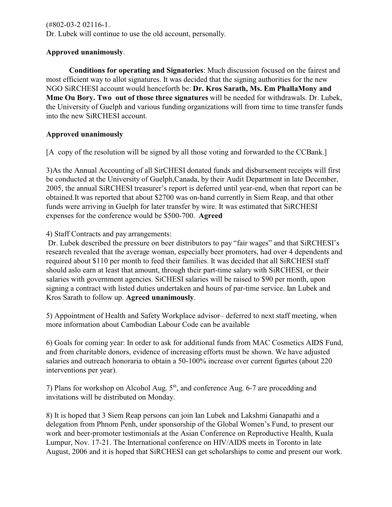(#802-03-2 02116-1. Dr. Lubek will continue to use the old account, personally.

### **Approved unanimously**.

**Conditions for operating and Signatories**: Much discussion focused on the fairest and most efficient way to allot signatures. It was decided that the signing authorities for the new NGO SiRCHESI account would henceforth be: **Dr. Kros Sarath, Ms. Em PhallaMony and Mme Ou Bory. Two out of those three signatures** will be needed for withdrawals. Dr. Lubek, the University of Guelph and various funding organizations will from time to time transfer funds into the new SiRCHESI account.

### **Approved unanimously**

[A] copy of the resolution will be signed by all those voting and forwarded to the CCBank.]

3)As the Annual Accounting of all SirCHESI donated funds and disbursement receipts will first be conducted at the University of Guelph,Canada, by their Audit Department in late December, 2005, the annual SiRCHESI treasurer's report is deferred until year-end, when that report can be obtained.It was reported that about \$2700 was on-hand currently in Siem Reap, and that other funds were arriving in Guelph for later transfer by wire. It was estimated that SiRCHESI expenses for the conference would be \$500-700. **Agreed** 

4) Staff Contracts and pay arrangements:

 Dr. Lubek described the pressure on beer distributors to pay "fair wages" and that SiRCHESI's research revealed that the average woman, especially beer promoters, had over 4 dependents and required about \$110 per month to feed their families. It was decided that all SiRCHESI staff should aslo earn at least that amount, through their part-time salary with SiRCHESI, or their salaries with government agencies. SiCHESI salaries will be raised to \$90 per month, upon signing a contract with listed duties undertaken and hours of par-time service. Ian Lubek and Kros Sarath to follow up. **Agreed unanimously**.

5) Appointment of Health and Safety Workplace advisor– deferred to next staff meeting, when more information about Cambodian Labour Code can be available

6) Goals for coming year: In order to ask for additional funds from MAC Cosmetics AIDS Fund, and from charitable donors, evidence of increasing efforts must be shown. We have adjusted salaries and outreach honoraria to obtain a 50-100% increase over current figurtes (about 220 interventions per year).

7) Plans for workshop on Alcohol Aug. 5<sup>th</sup>, and conference Aug. 6-7 are procedding and invitations will be distributed on Monday.

8) It is hoped that 3 Siem Reap persons can join Ian Lubek and Lakshmi Ganapathi and a delegation from Phnom Penh, under sponsorship of the Global Women's Fund, to present our work and beer-promoter testimonials at the Asian Conference on Reproductive Health, Kuala Lumpur, Nov. 17-21. The International conference on HIV/AIDS meets in Toronto in late August, 2006 and it is hoped that SiRCHESI can get scholarships to come and present our work.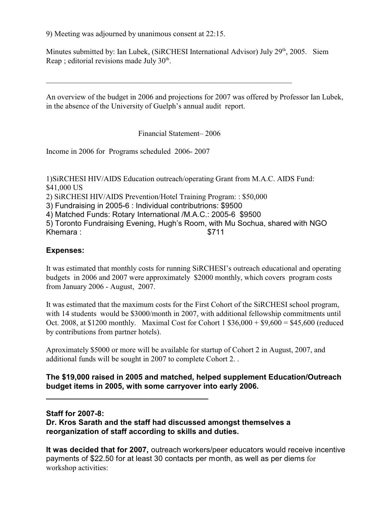9) Meeting was adjourned by unanimous consent at 22:15.

Minutes submitted by: Ian Lubek, (SiRCHESI International Advisor) July 29<sup>th</sup>, 2005. Siem Reap ; editorial revisions made July  $30<sup>th</sup>$ .

An overview of the budget in 2006 and projections for 2007 was offered by Professor Ian Lubek, in the absence of the University of Guelph's annual audit report.

Financial Statement– 2006

\_\_\_\_\_\_\_\_\_\_\_\_\_\_\_\_\_\_\_\_\_\_\_\_\_\_\_\_\_\_\_\_\_\_\_\_\_\_\_\_\_\_\_\_\_\_\_\_\_\_\_\_\_\_\_\_\_\_\_\_\_\_\_\_

Income in 2006 for Programs scheduled 2006- 2007

1)SiRCHESI HIV/AIDS Education outreach/operating Grant from M.A.C. AIDS Fund: \$41,000 US 2) SiRCHESI HIV/AIDS Prevention/Hotel Training Program: : \$50,000 3) Fundraising in 2005-6 : Individual contributrions: \$9500 4) Matched Funds: Rotary International /M.A.C.: 2005-6 \$9500 5) Toronto Fundraising Evening, Hugh's Room, with Mu Sochua, shared with NGO Khemara :  $$711$ 

## **Expenses:**

It was estimated that monthly costs for running SiRCHESI's outreach educational and operating budgets in 2006 and 2007 were approximately \$2000 monthly, which covers program costs from January 2006 - August, 2007.

It was estimated that the maximum costs for the First Cohort of the SiRCHESI school program, with 14 students would be \$3000/month in 2007, with additional fellowship commitments until Oct. 2008, at \$1200 monthly. Maximal Cost for Cohort 1 \$36,000 + \$9,600 = \$45,600 (reduced by contributions from partner hotels).

Aproximately \$5000 or more will be available for startup of Cohort 2 in August, 2007, and additional funds will be sought in 2007 to complete Cohort 2. .

### **The \$19,000 raised in 2005 and matched, helped supplement Education/Outreach budget items in 2005, with some carryover into early 2006.**

### **Staff for 2007-8:**

**Dr. Kros Sarath and the staff had discussed amongst themselves a reorganization of staff according to skills and duties.** 

**\_\_\_\_\_\_\_\_\_\_\_\_\_\_\_\_\_\_\_\_\_\_\_\_\_\_\_\_\_\_\_\_\_\_\_\_\_\_**

**It was decided that for 2007,** outreach workers/peer educators would receive incentive payments of \$22.50 for at least 30 contacts per month, as well as per diems for workshop activities: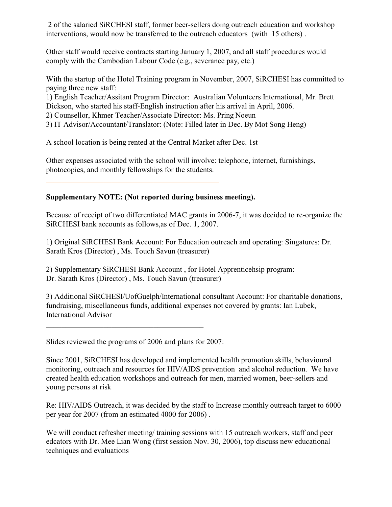2 of the salaried SiRCHESI staff, former beer-sellers doing outreach education and workshop interventions, would now be transferred to the outreach educators (with 15 others) .

Other staff would receive contracts starting January 1, 2007, and all staff procedures would comply with the Cambodian Labour Code (e.g., severance pay, etc.)

With the startup of the Hotel Training program in November, 2007, SiRCHESI has committed to paying three new staff:

1) English Teacher/Assitant Program Director: Australian Volunteers International, Mr. Brett Dickson, who started his staff-English instruction after his arrival in April, 2006.

2) Counsellor, Khmer Teacher/Associate Director: Ms. Pring Noeun

3) IT Advisor/Accountant/Translator: (Note: Filled later in Dec. By Mot Song Heng)

A school location is being rented at the Central Market after Dec. 1st

Other expenses associated with the school will involve: telephone, internet, furnishings, photocopies, and monthly fellowships for the students.

### **Supplementary NOTE: (Not reported during business meeting).**

Because of receipt of two differentiated MAC grants in 2006-7, it was decided to re-organize the SiRCHESI bank accounts as follows,as of Dec. 1, 2007.

1) Original SiRCHESI Bank Account: For Education outreach and operating: Singatures: Dr. Sarath Kros (Director) , Ms. Touch Savun (treasurer)

2) Supplementary SiRCHESI Bank Account , for Hotel Apprenticehsip program: Dr. Sarath Kros (Director) , Ms. Touch Savun (treasurer)

3) Additional SiRCHESI/UofGuelph/International consultant Account: For charitable donations, fundraising, miscellaneous funds, additional expenses not covered by grants: Ian Lubek, International Advisor

Slides reviewed the programs of 2006 and plans for 2007:

Since 2001, SiRCHESI has developed and implemented health promotion skills, behavioural monitoring, outreach and resources for HIV/AIDS prevention and alcohol reduction. We have created health education workshops and outreach for men, married women, beer-sellers and young persons at risk

Re: HIV/AIDS Outreach, it was decided by the staff to Increase monthly outreach target to 6000 per year for 2007 (from an estimated 4000 for 2006) .

We will conduct refresher meeting/ training sessions with 15 outreach workers, staff and peer edcators with Dr. Mee Lian Wong (first session Nov. 30, 2006), top discuss new educational techniques and evaluations